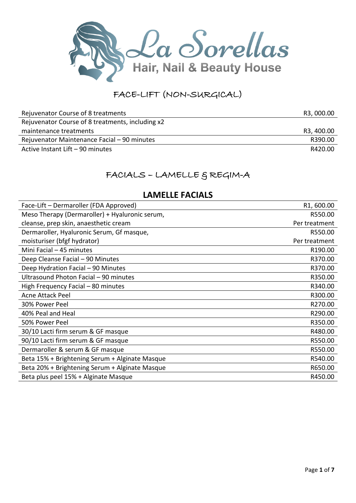

# FACE-LIFT (NON-SURGICAL)

| Rejuvenator Course of 8 treatments               | R3, 000.00 |
|--------------------------------------------------|------------|
| Rejuvenator Course of 8 treatments, including x2 |            |
| maintenance treatments                           | R3, 400.00 |
| Rejuvenator Maintenance Facial - 90 minutes      | R390.00    |
| Active Instant Lift - 90 minutes                 | R420.00    |

## FACIALS - LAMELLE & REGIM-A

### **LAMELLE FACIALS**

| Face-Lift - Dermaroller (FDA Approved)         | R1,600.00     |
|------------------------------------------------|---------------|
| Meso Therapy (Dermaroller) + Hyaluronic serum, | R550.00       |
| cleanse, prep skin, anaesthetic cream          | Per treatment |
| Dermaroller, Hyaluronic Serum, Gf masque,      | R550.00       |
| moisturiser (bfgf hydrator)                    | Per treatment |
| Mini Facial - 45 minutes                       | R190.00       |
| Deep Cleanse Facial - 90 Minutes               | R370.00       |
| Deep Hydration Facial - 90 Minutes             | R370.00       |
| Ultrasound Photon Facial - 90 minutes          | R350.00       |
| High Frequency Facial - 80 minutes             | R340.00       |
| <b>Acne Attack Peel</b>                        | R300.00       |
| 30% Power Peel                                 | R270.00       |
| 40% Peal and Heal                              | R290.00       |
| 50% Power Peel                                 | R350.00       |
| 30/10 Lacti firm serum & GF masque             | R480.00       |
| 90/10 Lacti firm serum & GF masque             | R550.00       |
| Dermaroller & serum & GF masque                | R550.00       |
| Beta 15% + Brightening Serum + Alginate Masque | R540.00       |
| Beta 20% + Brightening Serum + Alginate Masque | R650.00       |
| Beta plus peel 15% + Alginate Masque           | R450.00       |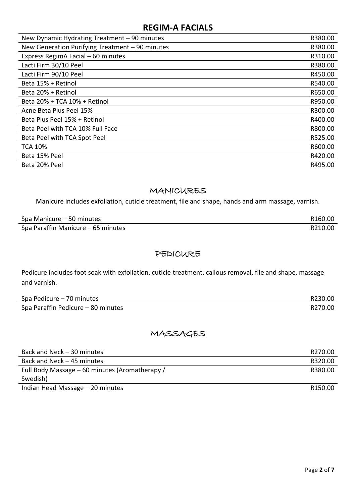### **REGIM-A FACIALS**

| New Dynamic Hydrating Treatment - 90 minutes    | R380.00 |
|-------------------------------------------------|---------|
| New Generation Purifying Treatment - 90 minutes | R380.00 |
| Express RegimA Facial - 60 minutes              | R310.00 |
| Lacti Firm 30/10 Peel                           | R380.00 |
| Lacti Firm 90/10 Peel                           | R450.00 |
| Beta 15% + Retinol                              | R540.00 |
| Beta 20% + Retinol                              | R650.00 |
| Beta 20% + TCA 10% + Retinol                    | R950.00 |
| Acne Beta Plus Peel 15%                         | R300.00 |
| Beta Plus Peel 15% + Retinol                    | R400.00 |
| Beta Peel with TCA 10% Full Face                | R800.00 |
| Beta Peel with TCA Spot Peel                    | R525.00 |
| <b>TCA 10%</b>                                  | R600.00 |
| Beta 15% Peel                                   | R420.00 |
| Beta 20% Peel                                   | R495.00 |

#### MANICURES

Manicure includes exfoliation, cuticle treatment, file and shape, hands and arm massage, varnish.

| Spa Manicure – 50 minutes          | R <sub>160.00</sub> |
|------------------------------------|---------------------|
| Spa Paraffin Manicure - 65 minutes | R210.00             |

#### PEDICURE

Pedicure includes foot soak with exfoliation, cuticle treatment, callous removal, file and shape, massage and varnish.

| Spa Pedicure - 70 minutes          | R230.00 |
|------------------------------------|---------|
| Spa Paraffin Pedicure - 80 minutes | R270.00 |

## MASSAGES

| Back and Neck - 30 minutes                     | R270.00             |
|------------------------------------------------|---------------------|
| Back and Neck - 45 minutes                     | R320.00             |
| Full Body Massage - 60 minutes (Aromatherapy / | R380.00             |
| Swedish)                                       |                     |
| Indian Head Massage - 20 minutes               | R <sub>150.00</sub> |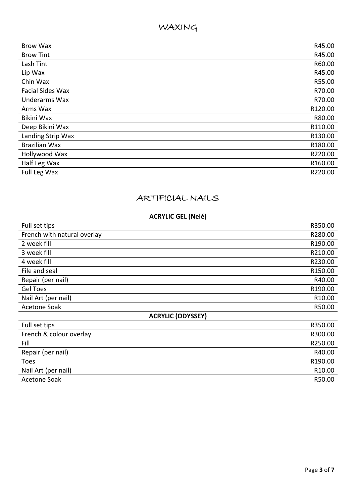### WAXING

| <b>Brow Wax</b>         | R45.00  |
|-------------------------|---------|
| <b>Brow Tint</b>        | R45.00  |
| Lash Tint               | R60.00  |
| Lip Wax                 | R45.00  |
| Chin Wax                | R55.00  |
| <b>Facial Sides Wax</b> | R70.00  |
| Underarms Wax           | R70.00  |
| Arms Wax                | R120.00 |
| Bikini Wax              | R80.00  |
| Deep Bikini Wax         | R110.00 |
| Landing Strip Wax       | R130.00 |
| <b>Brazilian Wax</b>    | R180.00 |
| Hollywood Wax           | R220.00 |
| Half Leg Wax            | R160.00 |
| Full Leg Wax            | R220.00 |

### ARTIFICIAL NAILS

#### **ACRYLIC GEL (Nelé)**

| Full set tips               | R350.00 |  |
|-----------------------------|---------|--|
| French with natural overlay | R280.00 |  |
| 2 week fill                 | R190.00 |  |
| 3 week fill                 | R210.00 |  |
| 4 week fill                 | R230.00 |  |
| File and seal               | R150.00 |  |
| Repair (per nail)           | R40.00  |  |
| <b>Gel Toes</b>             | R190.00 |  |
| Nail Art (per nail)         | R10.00  |  |
| <b>Acetone Soak</b>         | R50.00  |  |
| <b>ACRYLIC (ODYSSEY)</b>    |         |  |
| Full set tips               | R350.00 |  |
| French & colour overlay     | R300.00 |  |
| Fill                        | R250.00 |  |
| Repair (per nail)           | R40.00  |  |
| Toes                        | R190.00 |  |
| Nail Art (per nail)         | R10.00  |  |
| <b>Acetone Soak</b>         | R50.00  |  |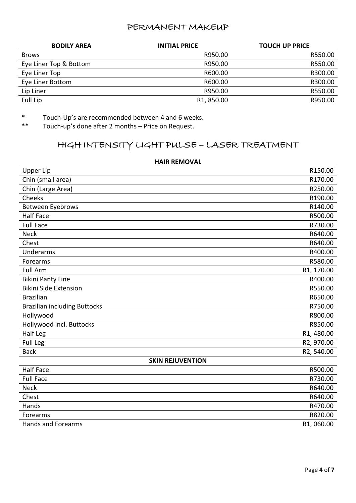#### PERMANENT MAKEUP

| <b>BODILY AREA</b>     | <b>INITIAL PRICE</b>    | <b>TOUCH UP PRICE</b> |
|------------------------|-------------------------|-----------------------|
| <b>Brows</b>           | R950.00                 | R550.00               |
| Eye Liner Top & Bottom | R950.00                 | R550.00               |
| Eye Liner Top          | R600.00                 | R300.00               |
| Eye Liner Bottom       | R600.00                 | R300.00               |
| Lip Liner              | R950.00                 | R550.00               |
| Full Lip               | R <sub>1</sub> , 850.00 | R950.00               |

\* Touch-Up's are recommended between 4 and 6 weeks.<br>\*\* Touch un's done after 2 months - Price on Poquet

Touch-up's done after 2 months – Price on Request.

## HIGH INTENSITY LIGHT PULSE – LASER TREATMENT

| <b>Upper Lip</b>                    | R150.00    |
|-------------------------------------|------------|
| Chin (small area)                   | R170.00    |
| Chin (Large Area)                   | R250.00    |
| Cheeks                              | R190.00    |
| Between Eyebrows                    | R140.00    |
| <b>Half Face</b>                    | R500.00    |
| <b>Full Face</b>                    | R730.00    |
| <b>Neck</b>                         | R640.00    |
| Chest                               | R640.00    |
| Underarms                           | R400.00    |
| Forearms                            | R580.00    |
| <b>Full Arm</b>                     | R1, 170.00 |
| <b>Bikini Panty Line</b>            | R400.00    |
| <b>Bikini Side Extension</b>        | R550.00    |
| <b>Brazilian</b>                    | R650.00    |
| <b>Brazilian including Buttocks</b> | R750.00    |
| Hollywood                           | R800.00    |
| Hollywood incl. Buttocks            | R850.00    |
| Half Leg                            | R1, 480.00 |
| <b>Full Leg</b>                     | R2, 970.00 |
| <b>Back</b>                         | R2, 540.00 |
| <b>SKIN REJUVENTION</b>             |            |
| <b>Half Face</b>                    | R500.00    |
| <b>Full Face</b>                    | R730.00    |
| <b>Neck</b>                         | R640.00    |
| Chest                               | R640.00    |
| Hands                               | R470.00    |
| Forearms                            | R820.00    |
| Hands and Forearms                  | R1,060.00  |

#### **HAIR REMOVAL**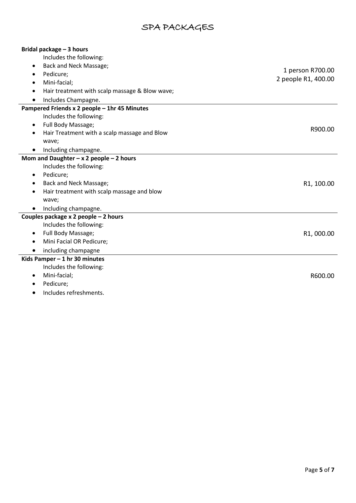# SPA PACKAGES

| Bridal package - 3 hours                       |                     |
|------------------------------------------------|---------------------|
| Includes the following:                        |                     |
| Back and Neck Massage;                         |                     |
| Pedicure;                                      | 1 person R700.00    |
| Mini-facial;                                   | 2 people R1, 400.00 |
| Hair treatment with scalp massage & Blow wave; |                     |
| Includes Champagne.                            |                     |
| Pampered Friends x 2 people - 1hr 45 Minutes   |                     |
| Includes the following:                        |                     |
| Full Body Massage;<br>$\bullet$                |                     |
| Hair Treatment with a scalp massage and Blow   | R900.00             |
| wave;                                          |                     |
| Including champagne.                           |                     |
| Mom and Daughter $-x$ 2 people $-$ 2 hours     |                     |
| Includes the following:                        |                     |
| Pedicure;<br>$\bullet$                         |                     |
| Back and Neck Massage;                         | R1, 100.00          |
| Hair treatment with scalp massage and blow     |                     |
| wave;                                          |                     |
| Including champagne.<br>$\bullet$              |                     |
| Couples package x 2 people - 2 hours           |                     |
| Includes the following:                        |                     |
| Full Body Massage;<br>$\bullet$                | R1,000.00           |
| Mini Facial OR Pedicure;                       |                     |
| including champagne                            |                     |
| Kids Pamper - 1 hr 30 minutes                  |                     |
| Includes the following:                        |                     |
| Mini-facial;                                   | R600.00             |
| Pedicure;                                      |                     |
| Includes refreshments.                         |                     |

Ĺ,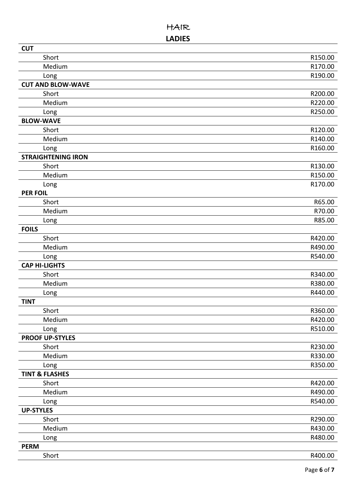### HAIR **LADIES**

| <b>CUT</b>                |         |
|---------------------------|---------|
| Short                     | R150.00 |
| Medium                    | R170.00 |
| Long                      | R190.00 |
| <b>CUT AND BLOW-WAVE</b>  |         |
| Short                     | R200.00 |
| Medium                    | R220.00 |
| Long                      | R250.00 |
| <b>BLOW-WAVE</b>          |         |
| Short                     | R120.00 |
| Medium                    | R140.00 |
| Long                      | R160.00 |
| <b>STRAIGHTENING IRON</b> |         |
| Short                     | R130.00 |
| Medium                    | R150.00 |
| Long                      | R170.00 |
| <b>PER FOIL</b>           |         |
| Short                     | R65.00  |
| Medium                    | R70.00  |
| Long                      | R85.00  |
| <b>FOILS</b>              |         |
| Short                     | R420.00 |
| Medium                    | R490.00 |
| Long                      | R540.00 |
| <b>CAP HI-LIGHTS</b>      |         |
| Short                     | R340.00 |
| Medium                    | R380.00 |
| Long                      | R440.00 |
| <b>TINT</b>               |         |
| Short                     | R360.00 |
| Medium                    | R420.00 |
| Long                      | R510.00 |
| <b>PROOF UP-STYLES</b>    |         |
| Short                     | R230.00 |
| Medium                    | R330.00 |
| Long                      | R350.00 |
| <b>TINT &amp; FLASHES</b> |         |
| Short                     | R420.00 |
| Medium                    | R490.00 |
| Long                      | R540.00 |
| <b>UP-STYLES</b>          |         |
| Short                     | R290.00 |
| Medium                    | R430.00 |
| Long                      | R480.00 |
| <b>PERM</b>               |         |
| Short                     | R400.00 |
|                           |         |